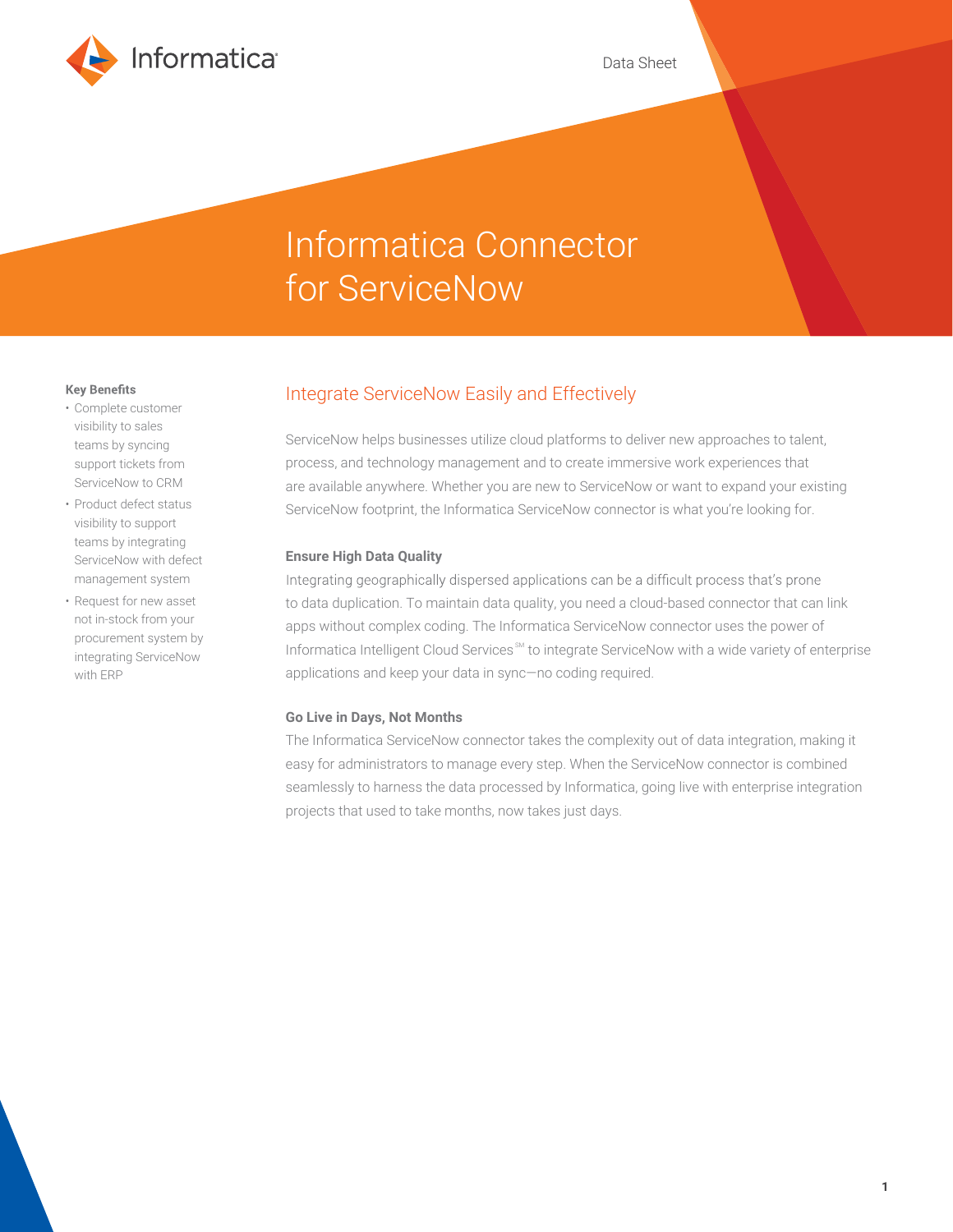

# Informatica Connector for ServiceNow

### **Key Benefits**

- Complete customer visibility to sales teams by syncing support tickets from ServiceNow to CRM
- Product defect status visibility to support teams by integrating ServiceNow with defect management system
- Request for new asset not in-stock from your procurement system by integrating ServiceNow with ERP

## Integrate ServiceNow Easily and Effectively

ServiceNow helps businesses utilize cloud platforms to deliver new approaches to talent, process, and technology management and to create immersive work experiences that are available anywhere. Whether you are new to ServiceNow or want to expand your existing ServiceNow footprint, the Informatica ServiceNow connector is what you're looking for.

## **Ensure High Data Quality**

Integrating geographically dispersed applications can be a difficult process that's prone to data duplication. To maintain data quality, you need a cloud-based connector that can link apps without complex coding. The Informatica ServiceNow connector uses the power of Informatica Intelligent Cloud Services<sup>SM</sup> to integrate ServiceNow with a wide variety of enterprise applications and keep your data in sync—no coding required.

## **Go Live in Days, Not Months**

The Informatica ServiceNow connector takes the complexity out of data integration, making it easy for administrators to manage every step. When the ServiceNow connector is combined seamlessly to harness the data processed by Informatica, going live with enterprise integration projects that used to take months, now takes just days.